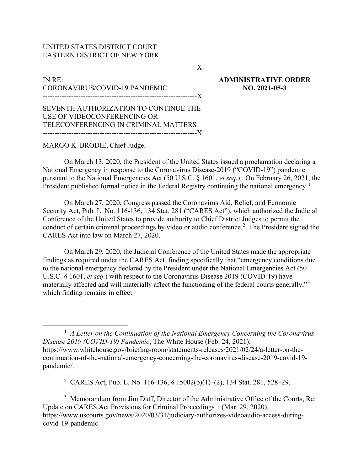## UNITED STATES DISTRICT COURT EASTERN DISTRICT OF NEW YORK

-----------------------------------------------------------------X

## IN RE: CORONAVIRUS/COVID-19 PANDEMIC -----------------------------------------------------------------X

ADMINISTRATIVE ORDER NO. 2021-05-3

SEVENTH AUTHORIZATION TO CONTINUE THE USE OF VIDEOCONFERENCING OR TELECONFERENCING IN CRIMINAL MATTERS -----------------------------------------------------------------X

## MARGO K. BRODIE, Chief Judge.

On March 13, 2020, the President of the United States issued a proclamation declaring a National Emergency in response to the Coronavirus Disease-2019 ("COVID-19") pandemic pursuant to the National Emergencies Act (50 U.S.C. § 1601, et seq.). On February 26, 2021, the President published formal notice in the Federal Registry continuing the national emergency.<sup>1</sup>

On March 27, 2020, Congress passed the Coronavirus Aid, Relief, and Economic Security Act, Pub. L. No. 116-136, 134 Stat. 281 ("CARES Act"), which authorized the Judicial Conference of the United States to provide authority to Chief District Judges to permit the conduct of certain criminal proceedings by video or audio conference.<sup>2</sup> The President signed the CARES Act into law on March 27, 2020.

On March 29, 2020, the Judicial Conference of the United States made the appropriate findings as required under the CARES Act, finding specifically that "emergency conditions due to the national emergency declared by the President under the National Emergencies Act (50 U.S.C. § 1601, et seq.) with respect to the Coronavirus Disease 2019 (COVID-19) have materially affected and will materially affect the functioning of the federal courts generally,"<sup>3</sup> which finding remains in effect.

 $<sup>1</sup>$  A Letter on the Continuation of the National Emergency Concerning the Coronavirus</sup> Disease 2019 (COVID-19) Pandemic, The White House (Feb. 24, 2021), https://www.whitehouse.gov/briefing-room/statements-releases/2021/02/24/a-letter-on-thecontinuation-of-the-national-emergency-concerning-the-coronavirus-disease-2019-covid-19 pandemic/.

2 CARES Act, Pub. L. No. 116-136, § 15002(b)(1)–(2), 134 Stat. 281, 528–29.

<sup>3</sup> Memorandum from Jim Duff, Director of the Administrative Office of the Courts, Re: Update on CARES Act Provisions for Criminal Proceedings 1 (Mar. 29, 2020), https://www.uscourts.gov/news/2020/03/31/judiciary-authorizes-videoaudio-access-duringcovid-19-pandemic.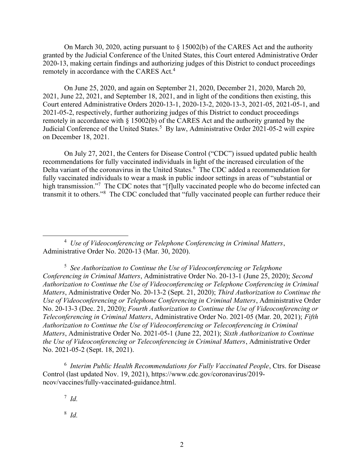On March 30, 2020, acting pursuant to § 15002(b) of the CARES Act and the authority granted by the Judicial Conference of the United States, this Court entered Administrative Order 2020-13, making certain findings and authorizing judges of this District to conduct proceedings remotely in accordance with the CARES Act.<sup>4</sup>

On June 25, 2020, and again on September 21, 2020, December 21, 2020, March 20, 2021, June 22, 2021, and September 18, 2021, and in light of the conditions then existing, this Court entered Administrative Orders 2020-13-1, 2020-13-2, 2020-13-3, 2021-05, 2021-05-1, and 2021-05-2, respectively, further authorizing judges of this District to conduct proceedings remotely in accordance with § 15002(b) of the CARES Act and the authority granted by the Judicial Conference of the United States.<sup>5</sup> By law, Administrative Order 2021-05-2 will expire on December 18, 2021.

On July 27, 2021, the Centers for Disease Control ("CDC") issued updated public health recommendations for fully vaccinated individuals in light of the increased circulation of the Delta variant of the coronavirus in the United States.<sup>6</sup> The CDC added a recommendation for fully vaccinated individuals to wear a mask in public indoor settings in areas of "substantial or high transmission."<sup>7</sup> The CDC notes that "[f]ully vaccinated people who do become infected can transmit it to others."<sup>8</sup> The CDC concluded that "fully vaccinated people can further reduce their

 $<sup>4</sup>$  Use of Videoconferencing or Telephone Conferencing in Criminal Matters,</sup> Administrative Order No. 2020-13 (Mar. 30, 2020).

<sup>5</sup> See Authorization to Continue the Use of Videoconferencing or Telephone Conferencing in Criminal Matters, Administrative Order No. 20-13-1 (June 25, 2020); Second Authorization to Continue the Use of Videoconferencing or Telephone Conferencing in Criminal Matters, Administrative Order No. 20-13-2 (Sept. 21, 2020); Third Authorization to Continue the Use of Videoconferencing or Telephone Conferencing in Criminal Matters, Administrative Order No. 20-13-3 (Dec. 21, 2020); Fourth Authorization to Continue the Use of Videoconferencing or Teleconferencing in Criminal Matters, Administrative Order No. 2021-05 (Mar. 20, 2021); Fifth Authorization to Continue the Use of Videoconferencing or Teleconferencing in Criminal Matters, Administrative Order No. 2021-05-1 (June 22, 2021); Sixth Authorization to Continue the Use of Videoconferencing or Teleconferencing in Criminal Matters, Administrative Order No. 2021-05-2 (Sept. 18, 2021).

 $6$  Interim Public Health Recommendations for Fully Vaccinated People, Ctrs. for Disease Control (last updated Nov. 19, 2021), https://www.cdc.gov/coronavirus/2019 ncov/vaccines/fully-vaccinated-guidance.html.

 $^7$  Id.

8 Id.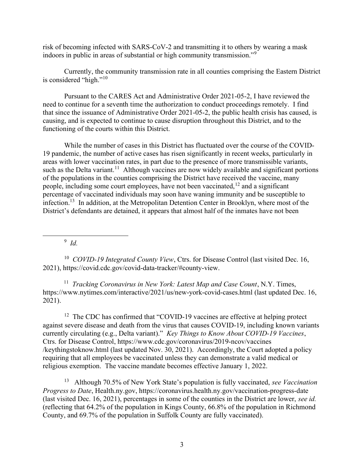risk of becoming infected with SARS-CoV-2 and transmitting it to others by wearing a mask indoors in public in areas of substantial or high community transmission."<sup>9</sup>

Currently, the community transmission rate in all counties comprising the Eastern District is considered "high."<sup>10</sup>

Pursuant to the CARES Act and Administrative Order 2021-05-2, I have reviewed the need to continue for a seventh time the authorization to conduct proceedings remotely. I find that since the issuance of Administrative Order 2021-05-2, the public health crisis has caused, is causing, and is expected to continue to cause disruption throughout this District, and to the functioning of the courts within this District.

While the number of cases in this District has fluctuated over the course of the COVID-19 pandemic, the number of active cases has risen significantly in recent weeks, particularly in areas with lower vaccination rates, in part due to the presence of more transmissible variants, such as the Delta variant.<sup>11</sup> Although vaccines are now widely available and significant portions of the populations in the counties comprising the District have received the vaccine, many people, including some court employees, have not been vaccinated,  $12$  and a significant percentage of vaccinated individuals may soon have waning immunity and be susceptible to infection.<sup>13</sup> In addition, at the Metropolitan Detention Center in Brooklyn, where most of the District's defendants are detained, it appears that almost half of the inmates have not been

 $9$  Id.

<sup>10</sup> COVID-19 Integrated County View, Ctrs. for Disease Control (last visited Dec. 16, 2021), https://covid.cdc.gov/covid-data-tracker/#county-view.

<sup>11</sup> Tracking Coronavirus in New York: Latest Map and Case Count, N.Y. Times, https://www.nytimes.com/interactive/2021/us/new-york-covid-cases.html (last updated Dec. 16, 2021).

 $12$  The CDC has confirmed that "COVID-19 vaccines are effective at helping protect against severe disease and death from the virus that causes COVID-19, including known variants currently circulating (e.g., Delta variant)." Key Things to Know About COVID-19 Vaccines, Ctrs. for Disease Control, https://www.cdc.gov/coronavirus/2019-ncov/vaccines /keythingstoknow.html (last updated Nov. 30, 2021). Accordingly, the Court adopted a policy requiring that all employees be vaccinated unless they can demonstrate a valid medical or religious exemption. The vaccine mandate becomes effective January 1, 2022.

<sup>13</sup> Although 70.5% of New York State's population is fully vaccinated, see Vaccination Progress to Date, Health.ny.gov, https://coronavirus.health.ny.gov/vaccination-progress-date (last visited Dec. 16, 2021), percentages in some of the counties in the District are lower, see id. (reflecting that 64.2% of the population in Kings County, 66.8% of the population in Richmond County, and 69.7% of the population in Suffolk County are fully vaccinated).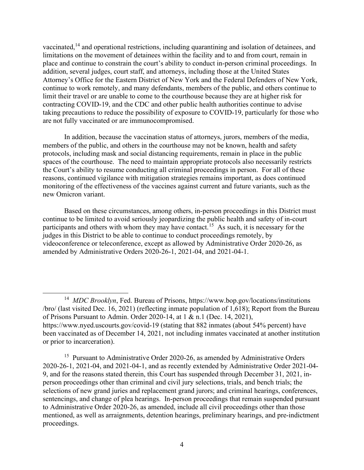vaccinated,<sup>14</sup> and operational restrictions, including quarantining and isolation of detainees, and limitations on the movement of detainees within the facility and to and from court, remain in place and continue to constrain the court's ability to conduct in-person criminal proceedings. In addition, several judges, court staff, and attorneys, including those at the United States Attorney's Office for the Eastern District of New York and the Federal Defenders of New York, continue to work remotely, and many defendants, members of the public, and others continue to limit their travel or are unable to come to the courthouse because they are at higher risk for contracting COVID-19, and the CDC and other public health authorities continue to advise taking precautions to reduce the possibility of exposure to COVID-19, particularly for those who are not fully vaccinated or are immunocompromised.

In addition, because the vaccination status of attorneys, jurors, members of the media, members of the public, and others in the courthouse may not be known, health and safety protocols, including mask and social distancing requirements, remain in place in the public spaces of the courthouse. The need to maintain appropriate protocols also necessarily restricts the Court's ability to resume conducting all criminal proceedings in person. For all of these reasons, continued vigilance with mitigation strategies remains important, as does continued monitoring of the effectiveness of the vaccines against current and future variants, such as the new Omicron variant.

Based on these circumstances, among others, in-person proceedings in this District must continue to be limited to avoid seriously jeopardizing the public health and safety of in-court participants and others with whom they may have contact.<sup>15</sup> As such, it is necessary for the judges in this District to be able to continue to conduct proceedings remotely, by videoconference or teleconference, except as allowed by Administrative Order 2020-26, as amended by Administrative Orders 2020-26-1, 2021-04, and 2021-04-1.

<sup>&</sup>lt;sup>14</sup> MDC Brooklyn, Fed. Bureau of Prisons, https://www.bop.gov/locations/institutions /bro/ (last visited Dec. 16, 2021) (reflecting inmate population of 1,618); Report from the Bureau of Prisons Pursuant to Admin. Order 2020-14, at 1 & n.1 (Dec. 14, 2021), https://www.nyed.uscourts.gov/covid-19 (stating that 882 inmates (about 54% percent) have been vaccinated as of December 14, 2021, not including inmates vaccinated at another institution or prior to incarceration).

<sup>&</sup>lt;sup>15</sup> Pursuant to Administrative Order 2020-26, as amended by Administrative Orders 2020-26-1, 2021-04, and 2021-04-1, and as recently extended by Administrative Order 2021-04- 9, and for the reasons stated therein, this Court has suspended through December 31, 2021, inperson proceedings other than criminal and civil jury selections, trials, and bench trials; the selections of new grand juries and replacement grand jurors; and criminal hearings, conferences, sentencings, and change of plea hearings. In-person proceedings that remain suspended pursuant to Administrative Order 2020-26, as amended, include all civil proceedings other than those mentioned, as well as arraignments, detention hearings, preliminary hearings, and pre-indictment proceedings.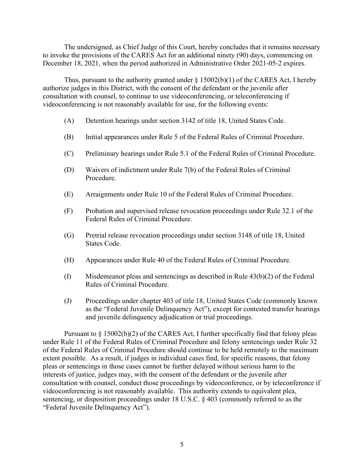The undersigned, as Chief Judge of this Court, hereby concludes that it remains necessary to invoke the provisions of the CARES Act for an additional ninety (90) days, commencing on December 18, 2021, when the period authorized in Administrative Order 2021-05-2 expires.

Thus, pursuant to the authority granted under  $\S$  15002(b)(1) of the CARES Act, I hereby authorize judges in this District, with the consent of the defendant or the juvenile after consultation with counsel, to continue to use videoconferencing, or teleconferencing if videoconferencing is not reasonably available for use, for the following events:

- (A) Detention hearings under section 3142 of title 18, United States Code.
- (B) Initial appearances under Rule 5 of the Federal Rules of Criminal Procedure.
- (C) Preliminary hearings under Rule 5.1 of the Federal Rules of Criminal Procedure.
- (D) Waivers of indictment under Rule 7(b) of the Federal Rules of Criminal Procedure.
- (E) Arraignments under Rule 10 of the Federal Rules of Criminal Procedure.
- (F) Probation and supervised release revocation proceedings under Rule 32.1 of the Federal Rules of Criminal Procedure.
- (G) Pretrial release revocation proceedings under section 3148 of title 18, United States Code.
- (H) Appearances under Rule 40 of the Federal Rules of Criminal Procedure.
- (I) Misdemeanor pleas and sentencings as described in Rule 43(b)(2) of the Federal Rules of Criminal Procedure.
- (J) Proceedings under chapter 403 of title 18, United States Code (commonly known as the "Federal Juvenile Delinquency Act"), except for contested transfer hearings and juvenile delinquency adjudication or trial proceedings.

Pursuant to  $\S 15002(b)(2)$  of the CARES Act, I further specifically find that felony pleas under Rule 11 of the Federal Rules of Criminal Procedure and felony sentencings under Rule 32 of the Federal Rules of Criminal Procedure should continue to be held remotely to the maximum extent possible. As a result, if judges in individual cases find, for specific reasons, that felony pleas or sentencings in those cases cannot be further delayed without serious harm to the interests of justice, judges may, with the consent of the defendant or the juvenile after consultation with counsel, conduct those proceedings by videoconference, or by teleconference if videoconferencing is not reasonably available. This authority extends to equivalent plea, sentencing, or disposition proceedings under 18 U.S.C. § 403 (commonly referred to as the "Federal Juvenile Delinquency Act").